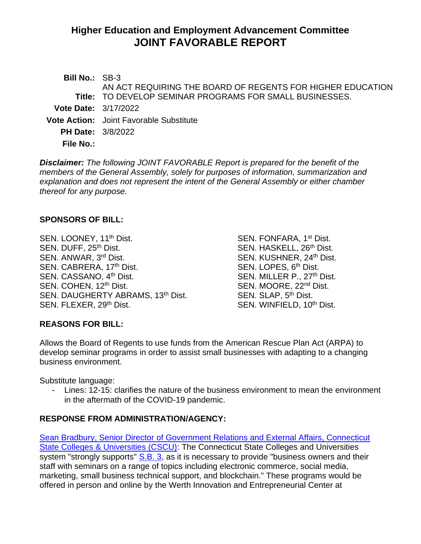# **Higher Education and Employment Advancement Committee JOINT FAVORABLE REPORT**

**Bill No.:** SB-3 **Title:** TO DEVELOP SEMINAR PROGRAMS FOR SMALL BUSINESSES. AN ACT REQUIRING THE BOARD OF REGENTS FOR HIGHER EDUCATION **Vote Date:** 3/17/2022 **Vote Action:** Joint Favorable Substitute **PH Date:** 3/8/2022 **File No.:**

*Disclaimer: The following JOINT FAVORABLE Report is prepared for the benefit of the members of the General Assembly, solely for purposes of information, summarization and explanation and does not represent the intent of the General Assembly or either chamber thereof for any purpose.*

#### **SPONSORS OF BILL:**

SEN. LOONEY, 11<sup>th</sup> Dist. SEN. DUFF, 25<sup>th</sup> Dist.<br>SEN. ANWAR, 3<sup>rd</sup> Dist. SEN. KUSHNER, 24<sup>th</sup> Dist. SEN. CABRERA, 17th Dist. SEN. CASSANO, 4<sup>th</sup> Dist. SEN. MILLER P., 27<sup>th</sup> Dist. SEN. COHEN, 12<sup>th</sup> Dist. SEN. MOORE, 22<sup>nd</sup> Dist. SEN. DAUGHERTY ABRAMS, 13<sup>th</sup> Dist.<br>SEN. FLEXER, 29<sup>th</sup> Dist.

SEN. FONFARA, 1<sup>st</sup> Dist. SEN. KUSHNER, 24<sup>th</sup> Dist. SEN. LOPES, 6<sup>th</sup> Dist. SEN. SLAP. 5<sup>th</sup> Dist. SEN. WINFIELD, 10<sup>th</sup> Dist.

#### **REASONS FOR BILL:**

Allows the Board of Regents to use funds from the American Rescue Plan Act (ARPA) to develop seminar programs in order to assist small businesses with adapting to a changing business environment.

Substitute language:

- Lines: 12-15: clarifies the nature of the business environment to mean the environment in the aftermath of the COVID-19 pandemic.

#### **RESPONSE FROM ADMINISTRATION/AGENCY:**

[Sean Bradbury, Senior Director of Government Relations and External Affairs, Connecticut](https://www.cga.ct.gov/2022/heddata/tmy/2022SB-00003-R000308-Bradbury,%20Sean,%20Director,%20Government%20Relations-CSCU-TMY.PDF)  [State Colleges & Universities \(CSCU\):](https://www.cga.ct.gov/2022/heddata/tmy/2022SB-00003-R000308-Bradbury,%20Sean,%20Director,%20Government%20Relations-CSCU-TMY.PDF) The Connecticut State Colleges and Universities system "strongly supports" [S.B. 3,](https://www.cga.ct.gov/2022/TOB/S/PDF/2022SB-00003-R01-SB.PDF) as it is necessary to provide "business owners and their staff with seminars on a range of topics including electronic commerce, social media, marketing, small business technical support, and blockchain." These programs would be offered in person and online by the Werth Innovation and Entrepreneurial Center at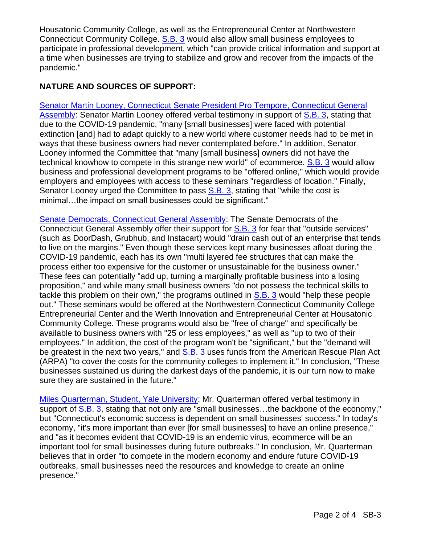Housatonic Community College, as well as the Entrepreneurial Center at Northwestern Connecticut Community College. [S.B. 3](https://www.cga.ct.gov/2022/TOB/S/PDF/2022SB-00003-R01-SB.PDF) would also allow small business employees to participate in professional development, which "can provide critical information and support at a time when businesses are trying to stabilize and grow and recover from the impacts of the pandemic."

### **NATURE AND SOURCES OF SUPPORT:**

[Senator Martin Looney, Connecticut Senate President Pro Tempore, Connecticut General](https://www.youtube.com/watch?v=_4mjnQpPsaQ)  [Assembly:](https://www.youtube.com/watch?v=_4mjnQpPsaQ) Senator Martin Looney offered verbal testimony in support of [S.B. 3,](https://www.cga.ct.gov/2022/TOB/S/PDF/2022SB-00003-R01-SB.PDF) stating that due to the COVID-19 pandemic, "many [small businesses] were faced with potential extinction [and] had to adapt quickly to a new world where customer needs had to be met in ways that these business owners had never contemplated before." In addition, Senator Looney informed the Committee that "many [small business] owners did not have the technical knowhow to compete in this strange new world" of ecommerce. [S.B. 3](https://www.cga.ct.gov/2022/TOB/S/PDF/2022SB-00003-R01-SB.PDF) would allow business and professional development programs to be "offered online," which would provide employers and employees with access to these seminars "regardless of location." Finally, Senator Looney urged the Committee to pass [S.B. 3,](https://www.cga.ct.gov/2022/TOB/S/PDF/2022SB-00003-R01-SB.PDF) stating that "while the cost is minimal…the impact on small businesses could be significant."

[Senate Democrats, Connecticut General Assembly:](https://www.cga.ct.gov/2022/heddata/tmy/2022SB-00003-R000308-Senate%20Democrats-Connecticut%20General%20Assembly-TMY.PDF) The Senate Democrats of the Connecticut General Assembly offer their support for [S.B. 3](https://www.cga.ct.gov/2022/TOB/S/PDF/2022SB-00003-R01-SB.PDF) for fear that "outside services" (such as DoorDash, Grubhub, and Instacart) would "drain cash out of an enterprise that tends to live on the margins." Even though these services kept many businesses afloat during the COVID-19 pandemic, each has its own "multi layered fee structures that can make the process either too expensive for the customer or unsustainable for the business owner." These fees can potentially "add up, turning a marginally profitable business into a losing proposition," and while many small business owners "do not possess the technical skills to tackle this problem on their own," the programs outlined in [S.B. 3](https://www.cga.ct.gov/2022/TOB/S/PDF/2022SB-00003-R01-SB.PDF) would "help these people out." These seminars would be offered at the Northwestern Connecticut Community College Entrepreneurial Center and the Werth Innovation and Entrepreneurial Center at Housatonic Community College. These programs would also be "free of charge" and specifically be available to business owners with "25 or less employees," as well as "up to two of their employees." In addition, the cost of the program won't be "significant," but the "demand will be greatest in the next two years," and [S.B. 3](https://www.cga.ct.gov/2022/TOB/S/PDF/2022SB-00003-R01-SB.PDF) uses funds from the American Rescue Plan Act (ARPA) "to cover the costs for the community colleges to implement it." In conclusion, "These businesses sustained us during the darkest days of the pandemic, it is our turn now to make sure they are sustained in the future."

[Miles Quarterman, Student, Yale University:](https://www.youtube.com/watch?v=_4mjnQpPsaQ) Mr. Quarterman offered verbal testimony in support of [S.B. 3,](https://www.cga.ct.gov/2022/TOB/S/PDF/2022SB-00003-R01-SB.PDF) stating that not only are "small businesses...the backbone of the economy," but "Connecticut's economic success is dependent on small businesses' success." In today's economy, "it's more important than ever [for small businesses] to have an online presence," and "as it becomes evident that COVID-19 is an endemic virus, ecommerce will be an important tool for small businesses during future outbreaks." In conclusion, Mr. Quarterman believes that in order "to compete in the modern economy and endure future COVID-19 outbreaks, small businesses need the resources and knowledge to create an online presence."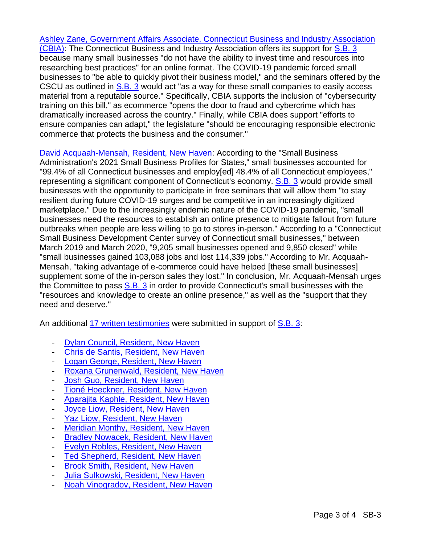[Ashley Zane, Government Affairs Associate, Connecticut Business and Industry Association](https://www.cga.ct.gov/2022/heddata/tmy/2022SB-00003-R000308-Zane,%20Ashley,%20Government%20Affairs%20Associate-CT%20Business%20and%20Industry%20Association-TMY.PDF)  [\(CBIA\):](https://www.cga.ct.gov/2022/heddata/tmy/2022SB-00003-R000308-Zane,%20Ashley,%20Government%20Affairs%20Associate-CT%20Business%20and%20Industry%20Association-TMY.PDF) The Connecticut Business and Industry Association offers its support for [S.B. 3](https://www.cga.ct.gov/2022/TOB/S/PDF/2022SB-00003-R01-SB.PDF) because many small businesses "do not have the ability to invest time and resources into researching best practices" for an online format. The COVID-19 pandemic forced small businesses to "be able to quickly pivot their business model," and the seminars offered by the CSCU as outlined in [S.B. 3](https://www.cga.ct.gov/2022/TOB/S/PDF/2022SB-00003-R01-SB.PDF) would act "as a way for these small companies to easily access material from a reputable source." Specifically, CBIA supports the inclusion of "cybersecurity training on this bill," as ecommerce "opens the door to fraud and cybercrime which has dramatically increased across the country." Finally, while CBIA does support "efforts to ensure companies can adapt," the legislature "should be encouraging responsible electronic commerce that protects the business and the consumer."

[David Acquaah-Mensah, Resident, New Haven:](https://www.cga.ct.gov/2022/heddata/tmy/2022SB-00003-R000308-Acquaah-Mensah,%20David-TMY.PDF) According to the "Small Business Administration's 2021 Small Business Profiles for States," small businesses accounted for "99.4% of all Connecticut businesses and employ[ed] 48.4% of all Connecticut employees," representing a significant component of Connecticut's economy. **S.B. 3** would provide small businesses with the opportunity to participate in free seminars that will allow them "to stay resilient during future COVID-19 surges and be competitive in an increasingly digitized marketplace." Due to the increasingly endemic nature of the COVID-19 pandemic, "small businesses need the resources to establish an online presence to mitigate fallout from future outbreaks when people are less willing to go to stores in-person." According to a "Connecticut Small Business Development Center survey of Connecticut small businesses," between March 2019 and March 2020, "9,205 small businesses opened and 9,850 closed" while "small businesses gained 103,088 jobs and lost 114,339 jobs." According to Mr. Acquaah-Mensah, "taking advantage of e-commerce could have helped [these small businesses] supplement some of the in-person sales they lost." In conclusion, Mr. Acquaah-Mensah urges the Committee to pass  $S.B. 3$  in order to provide Connecticut's small businesses with the "resources and knowledge to create an online presence," as well as the "support that they need and deserve."

An additional 17 [written testimonies](https://www.cga.ct.gov/asp/menu/CommDocTmyBill.asp?comm_code=hed&bill=SB-00003&doc_year=2022) were submitted in support of **S.B. 3:** 

- [Dylan Council, Resident, New Haven](https://www.cga.ct.gov/2022/heddata/tmy/2022SB-00003-R000308-Council,%20Dylan-TMY.PDF)
- [Chris de Santis, Resident, New Haven](https://www.cga.ct.gov/2022/heddata/tmy/2022SB-00003-R000308-de%20Santis,%20Chris-TMY.PDF)
- [Logan George, Resident, New Haven](https://www.cga.ct.gov/2022/heddata/tmy/2022SB-00003-R000308-George,%20Logan-TMY.PDF)
- [Roxana Grunenwald, Resident, New Haven](https://www.cga.ct.gov/2022/heddata/tmy/2022SB-00003-R000308-Grunenwald,%20Roxana-TMY.PDF)
- [Josh Guo, Resident, New Haven](https://www.cga.ct.gov/2022/heddata/tmy/2022SB-00003-R000308-Guo,%20Josh-TMY.PDF)
- Tioné [Hoeckner, Resident, New Haven](https://www.cga.ct.gov/2022/heddata/tmy/2022SB-00003-R000308-Hoeckner,%20Tion--TMY.PDF)
- [Aparajita Kaphle, Resident, New Haven](https://www.cga.ct.gov/2022/heddata/tmy/2022SB-00003-R000308-Kaphle,%20Aparajita-TMY.PDF)
- [Joyce Liow, Resident, New Haven](https://www.cga.ct.gov/2022/heddata/tmy/2022SB-00003-R000308-Liow,%20Joyce-TMY.PDF)
- [Yaz Liow, Resident, New Haven](https://www.cga.ct.gov/2022/heddata/tmy/2022SB-00003-R000308-Liow,%20Yaz-TMY.PDF)
- [Meridian Monthy, Resident, New Haven](https://www.cga.ct.gov/2022/heddata/tmy/2022SB-00003-R000308-Monthy,%20Meridian-TMY.PDF)
- [Bradley Nowacek, Resident, New Haven](https://www.cga.ct.gov/2022/heddata/tmy/2022SB-00003-R000308-Nowacek,%20Bradley-TMY.PDF)
- [Evelyn Robles, Resident, New Haven](https://www.cga.ct.gov/2022/heddata/tmy/2022SB-00003-R000308-Robles,%20Evelyn-TMY.PDF)
- [Ted Shepherd, Resident, New Haven](https://www.cga.ct.gov/2022/heddata/tmy/2022SB-00003-R000308-Shepherd,%20Ted-TMY.PDF)
- [Brook Smith, Resident, New Haven](https://www.cga.ct.gov/2022/heddata/tmy/2022SB-00003-R000308-Smith,%20Brook-TMY.PDF)
- [Julia Sulkowski, Resident, New Haven](https://www.cga.ct.gov/2022/heddata/tmy/2022SB-00003-R000308-Sulkowski,%20Julia-TMY.PDF)
- [Noah Vinogradov, Resident, New Haven](https://www.cga.ct.gov/2022/heddata/tmy/2022SB-00003-R000308-Vinogradov,%20Noah-TMY.PDF)